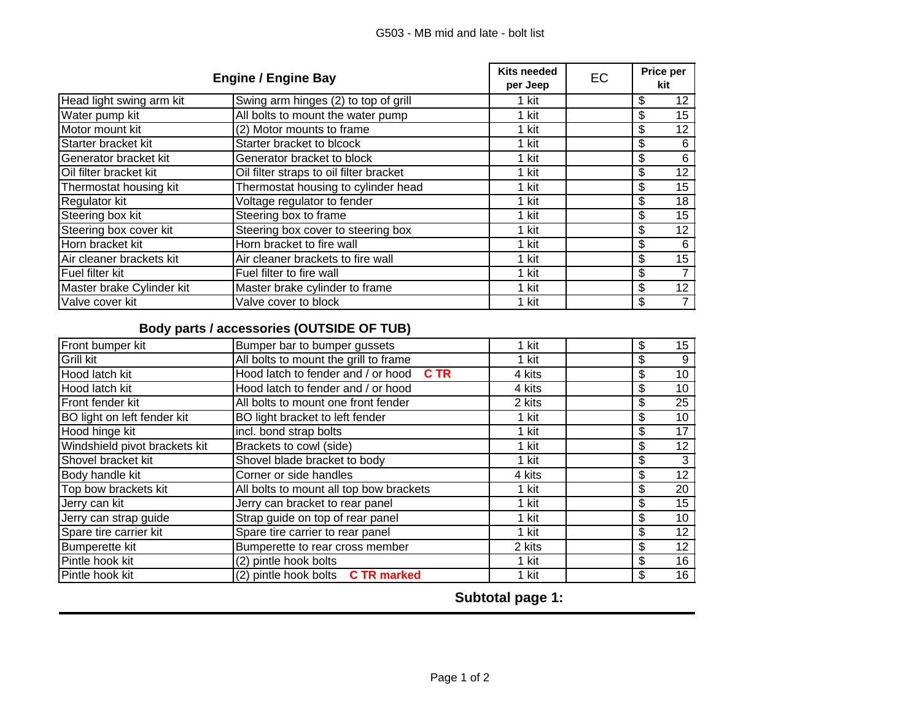| <b>Engine / Engine Bay</b> |                                         | <b>Kits needed</b><br>per Jeep | EC | Price per<br>kit               |
|----------------------------|-----------------------------------------|--------------------------------|----|--------------------------------|
| Head light swing arm kit   | Swing arm hinges (2) to top of grill    | 1 kit                          |    | \$<br>12                       |
| Water pump kit             | All bolts to mount the water pump       | 1 kit                          |    | \$<br>15                       |
| Motor mount kit            | (2) Motor mounts to frame               | 1 kit                          |    | \$<br>12                       |
| Starter bracket kit        | Starter bracket to blcock               | 1 kit                          |    | \$<br>6                        |
| Generator bracket kit      | Generator bracket to block              | 1 kit                          |    | \$<br>6                        |
| Oil filter bracket kit     | Oil filter straps to oil filter bracket | 1 kit                          |    | \$<br>12                       |
| Thermostat housing kit     | Thermostat housing to cylinder head     | 1 kit                          |    | \$<br>15                       |
| Regulator kit              | Voltage regulator to fender             | 1 kit                          |    | \$<br>18                       |
| Steering box kit           | Steering box to frame                   | 1 kit                          |    | \$<br>15                       |
| Steering box cover kit     | Steering box cover to steering box      | 1 kit                          |    | \$<br>12                       |
| Horn bracket kit           | Horn bracket to fire wall               | 1 kit                          |    | \$<br>6                        |
| Air cleaner brackets kit   | Air cleaner brackets to fire wall       | 1 kit                          |    | \$<br>15                       |
| Fuel filter kit            | Fuel filter to fire wall                | 1 kit                          |    | \$                             |
| Master brake Cylinder kit  | Master brake cylinder to frame          | 1 kit                          |    | \$<br>12                       |
| Valve cover kit            | Valve cover to block                    | 1 kit                          |    | \$<br>$\overline{\phantom{a}}$ |

## **Body parts / accessories (OUTSIDE OF TUB)**

| Front bumper kit              | Bumper bar to bumper gussets                      | 1 kit  | \$<br>15              |
|-------------------------------|---------------------------------------------------|--------|-----------------------|
| Grill kit                     | All bolts to mount the grill to frame             | 1 kit  | \$<br>9               |
| Hood latch kit                | Hood latch to fender and / or hood<br><b>C</b> TR | 4 kits | \$<br>10              |
| Hood latch kit                | Hood latch to fender and / or hood                | 4 kits | \$<br>10              |
| Front fender kit              | All bolts to mount one front fender               | 2 kits | $\overline{25}$<br>\$ |
| BO light on left fender kit   | BO light bracket to left fender                   | 1 kit  | \$<br>10              |
| Hood hinge kit                | incl. bond strap bolts                            | 1 kit  | \$<br>17              |
| Windshield pivot brackets kit | Brackets to cowl (side)                           | 1 kit  | \$<br>12              |
| Shovel bracket kit            | Shovel blade bracket to body                      | 1 kit  | \$<br>3               |
| Body handle kit               | Corner or side handles                            | 4 kits | \$<br>12              |
| Top bow brackets kit          | All bolts to mount all top bow brackets           | 1 kit  | \$<br>20              |
| Jerry can kit                 | Jerry can bracket to rear panel                   | 1 kit  | \$<br>15              |
| Jerry can strap guide         | Strap guide on top of rear panel                  | 1 kit  | \$<br>10              |
| Spare tire carrier kit        | Spare tire carrier to rear panel                  | 1 kit  | \$<br>12              |
| <b>Bumperette kit</b>         | Bumperette to rear cross member                   | 2 kits | \$<br>12              |
| Pintle hook kit               | (2) pintle hook bolts                             | 1 kit  | \$<br>16              |
| Pintle hook kit               | (2) pintle hook bolts C TR marked                 | 1 kit  | \$<br>16              |

**Subtotal page 1:**